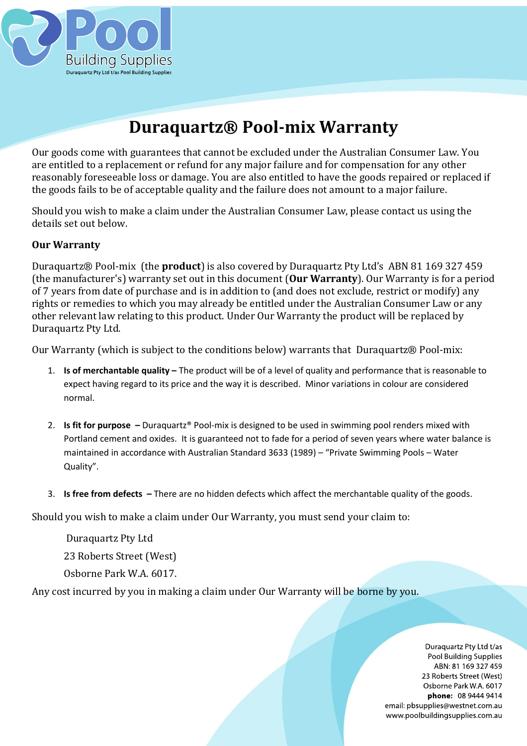

# **Duraquartz® Pool-mix Warranty**

Our goods come with guarantees that cannot be excluded under the Australian Consumer Law. You are entitled to a replacement or refund for any major failure and for compensation for any other reasonably foreseeable loss or damage. You are also entitled to have the goods repaired or replaced if the goods fails to be of acceptable quality and the failure does not amount to a major failure.

Should you wish to make a claim under the Australian Consumer Law, please contact us using the details set out below.

# **Our Warranty**

Duraquartz® Pool-mix (the **product**) is also covered by Duraquartz Pty Ltd's ABN 81 169 327 459 (the manufacturer's) warranty set out in this document (**Our Warranty**). Our Warranty is for a period of 7 years from date of purchase and is in addition to (and does not exclude, restrict or modify) any rights or remedies to which you may already be entitled under the Australian Consumer Law or any other relevant law relating to this product. Under Our Warranty the product will be replaced by Duraquartz Pty Ltd.

Our Warranty (which is subject to the conditions below) warrants that Duraquartz® Pool-mix:

- 1. **Is of merchantable quality –** The product will be of a level of quality and performance that is reasonable to expect having regard to its price and the way it is described. Minor variations in colour are considered normal.
- 2. **Is fit for purpose –** Duraquartz® Pool-mix is designed to be used in swimming pool renders mixed with Portland cement and oxides. It is guaranteed not to fade for a period of seven years where water balance is maintained in accordance with Australian Standard 3633 (1989) – "Private Swimming Pools – Water Quality".
- 3. **Is free from defects –** There are no hidden defects which affect the merchantable quality of the goods.

Should you wish to make a claim under Our Warranty, you must send your claim to:

Duraquartz Pty Ltd 23 Roberts Street (West) Osborne Park W.A. 6017.

Any cost incurred by you in making a claim under Our Warranty will be borne by you.

Duraquartz Pty Ltd t/as Pool Building Supplies ABN: 81 169 327 459 23 Roberts Street (West) Osborne Park W.A. 6017 phone: 08 9444 9414 email: pbsupplies@westnet.com.au www.poolbuildingsupplies.com.au